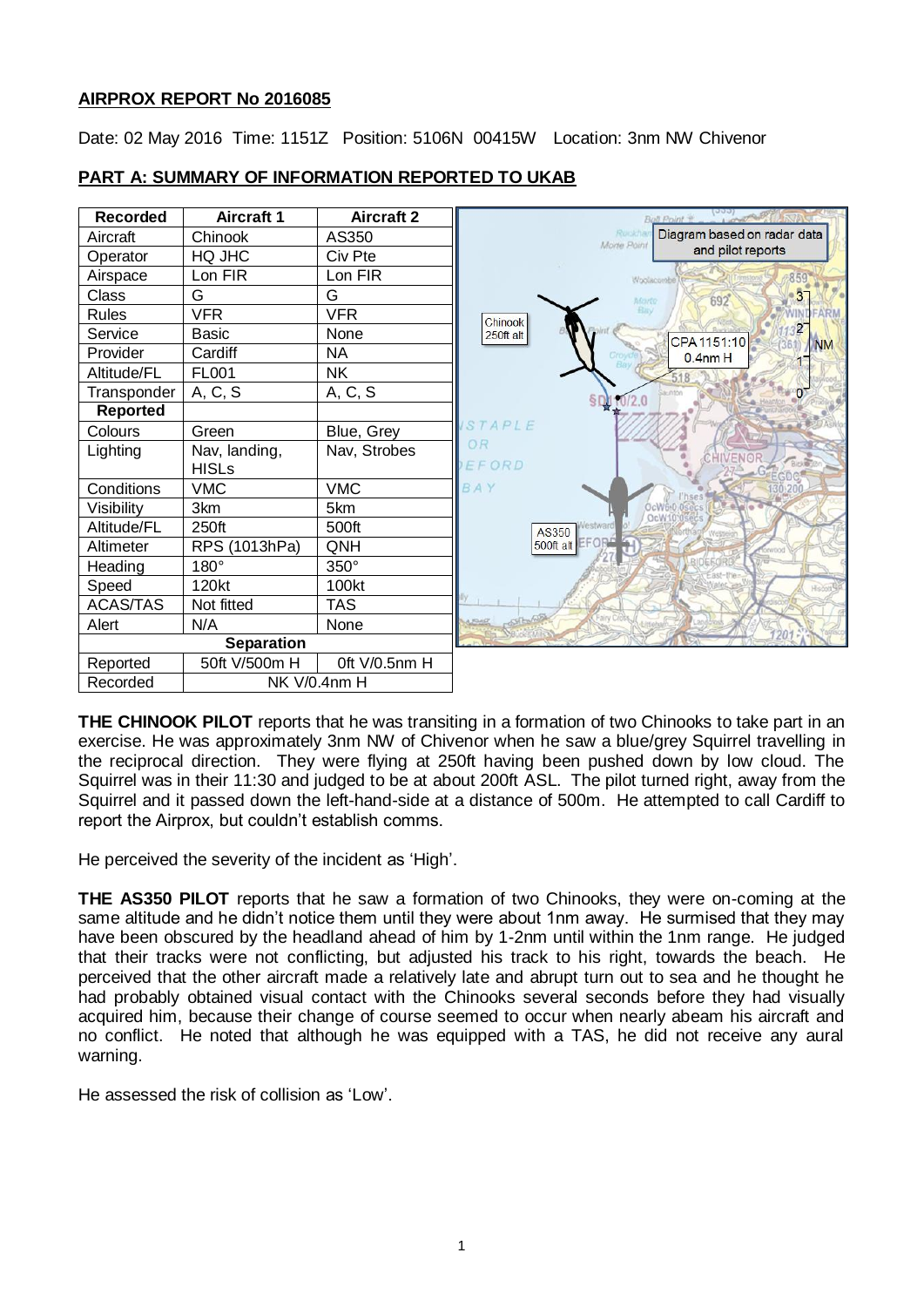### **AIRPROX REPORT No 2016085**

Date: 02 May 2016 Time: 1151Z Position: 5106N 00415W Location: 3nm NW Chivenor



### **PART A: SUMMARY OF INFORMATION REPORTED TO UKAB**

**THE CHINOOK PILOT** reports that he was transiting in a formation of two Chinooks to take part in an exercise. He was approximately 3nm NW of Chivenor when he saw a blue/grey Squirrel travelling in the reciprocal direction. They were flying at 250ft having been pushed down by low cloud. The Squirrel was in their 11:30 and judged to be at about 200ft ASL. The pilot turned right, away from the Squirrel and it passed down the left-hand-side at a distance of 500m. He attempted to call Cardiff to report the Airprox, but couldn't establish comms.

He perceived the severity of the incident as 'High'.

**THE AS350 PILOT** reports that he saw a formation of two Chinooks, they were on-coming at the same altitude and he didn't notice them until they were about 1nm away. He surmised that they may have been obscured by the headland ahead of him by 1-2nm until within the 1nm range. He judged that their tracks were not conflicting, but adjusted his track to his right, towards the beach. He perceived that the other aircraft made a relatively late and abrupt turn out to sea and he thought he had probably obtained visual contact with the Chinooks several seconds before they had visually acquired him, because their change of course seemed to occur when nearly abeam his aircraft and no conflict. He noted that although he was equipped with a TAS, he did not receive any aural warning.

He assessed the risk of collision as 'Low'.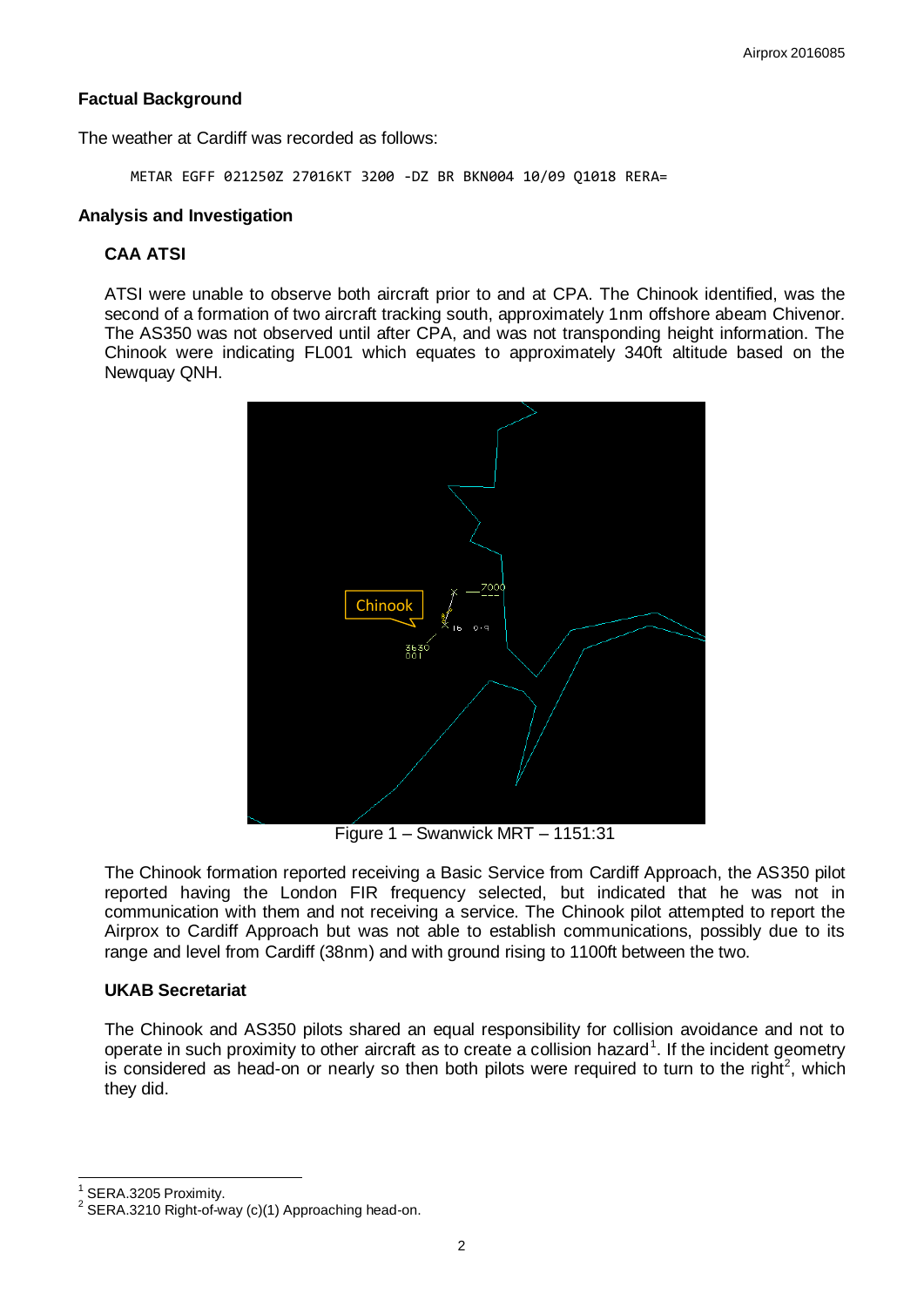### **Factual Background**

The weather at Cardiff was recorded as follows:

METAR EGFF 021250Z 27016KT 3200 -DZ BR BKN004 10/09 Q1018 RERA=

#### **Analysis and Investigation**

### **CAA ATSI**

ATSI were unable to observe both aircraft prior to and at CPA. The Chinook identified, was the second of a formation of two aircraft tracking south, approximately 1nm offshore abeam Chivenor. The AS350 was not observed until after CPA, and was not transponding height information. The Chinook were indicating FL001 which equates to approximately 340ft altitude based on the Newquay QNH.



Figure 1 – Swanwick MRT – 1151:31

The Chinook formation reported receiving a Basic Service from Cardiff Approach, the AS350 pilot reported having the London FIR frequency selected, but indicated that he was not in communication with them and not receiving a service. The Chinook pilot attempted to report the Airprox to Cardiff Approach but was not able to establish communications, possibly due to its range and level from Cardiff (38nm) and with ground rising to 1100ft between the two.

### **UKAB Secretariat**

The Chinook and AS350 pilots shared an equal responsibility for collision avoidance and not to operate in such proximity to other aircraft as to create a collision hazard<sup>1</sup>. If the incident geometry is considered as head-on or nearly so then both pilots were required to turn to the right<sup>2</sup>, which they did.

 $\overline{a}$ 

<sup>1</sup> SERA.3205 Proximity.

 $2$  SERA.3210 Right-of-way (c)(1) Approaching head-on.